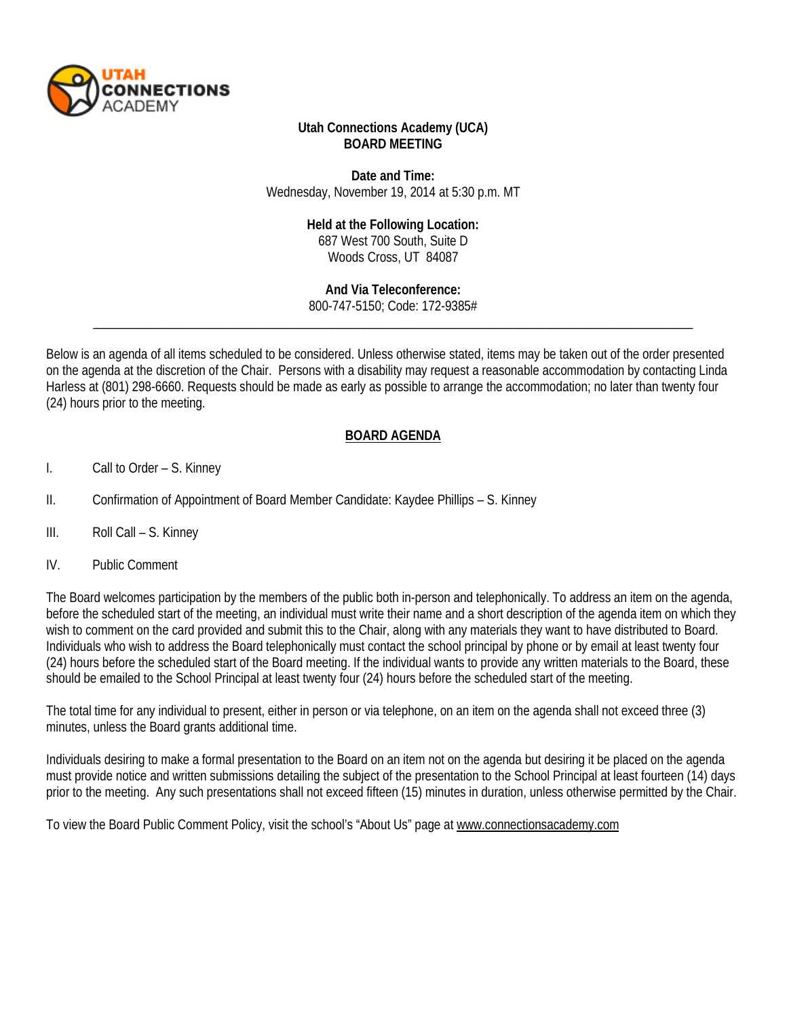

## **Utah Connections Academy (UCA) BOARD MEETING**

**Date and Time:** Wednesday, November 19, 2014 at 5:30 p.m. MT

## **Held at the Following Location:**

687 West 700 South, Suite D Woods Cross, UT 84087

\_\_\_\_\_\_\_\_\_\_\_\_\_\_\_\_\_\_\_\_\_\_\_\_\_\_\_\_\_\_\_\_\_\_\_\_\_\_\_\_\_\_\_\_\_\_\_\_\_\_\_\_\_\_\_\_\_\_\_\_\_\_\_\_\_\_\_\_\_\_\_\_\_\_\_\_\_\_\_\_\_\_\_\_\_\_\_\_\_\_\_\_\_ **And Via Teleconference:** 800-747-5150; Code: 172-9385#

Below is an agenda of all items scheduled to be considered. Unless otherwise stated, items may be taken out of the order presented on the agenda at the discretion of the Chair. Persons with a disability may request a reasonable accommodation by contacting Linda Harless at (801) 298-6660. Requests should be made as early as possible to arrange the accommodation; no later than twenty four (24) hours prior to the meeting.

## **BOARD AGENDA**

- I. Call to Order S. Kinney
- II. Confirmation of Appointment of Board Member Candidate: Kaydee Phillips S. Kinney
- III. Roll Call S. Kinney
- IV. Public Comment

The Board welcomes participation by the members of the public both in-person and telephonically. To address an item on the agenda, before the scheduled start of the meeting, an individual must write their name and a short description of the agenda item on which they wish to comment on the card provided and submit this to the Chair, along with any materials they want to have distributed to Board. Individuals who wish to address the Board telephonically must contact the school principal by phone or by email at least twenty four (24) hours before the scheduled start of the Board meeting. If the individual wants to provide any written materials to the Board, these should be emailed to the School Principal at least twenty four (24) hours before the scheduled start of the meeting.

The total time for any individual to present, either in person or via telephone, on an item on the agenda shall not exceed three (3) minutes, unless the Board grants additional time.

Individuals desiring to make a formal presentation to the Board on an item not on the agenda but desiring it be placed on the agenda must provide notice and written submissions detailing the subject of the presentation to the School Principal at least fourteen (14) days prior to the meeting. Any such presentations shall not exceed fifteen (15) minutes in duration, unless otherwise permitted by the Chair.

To view the Board Public Comment Policy, visit the school's "About Us" page at [www.connectionsacademy.com](http://www.connectionsacademy.com/)